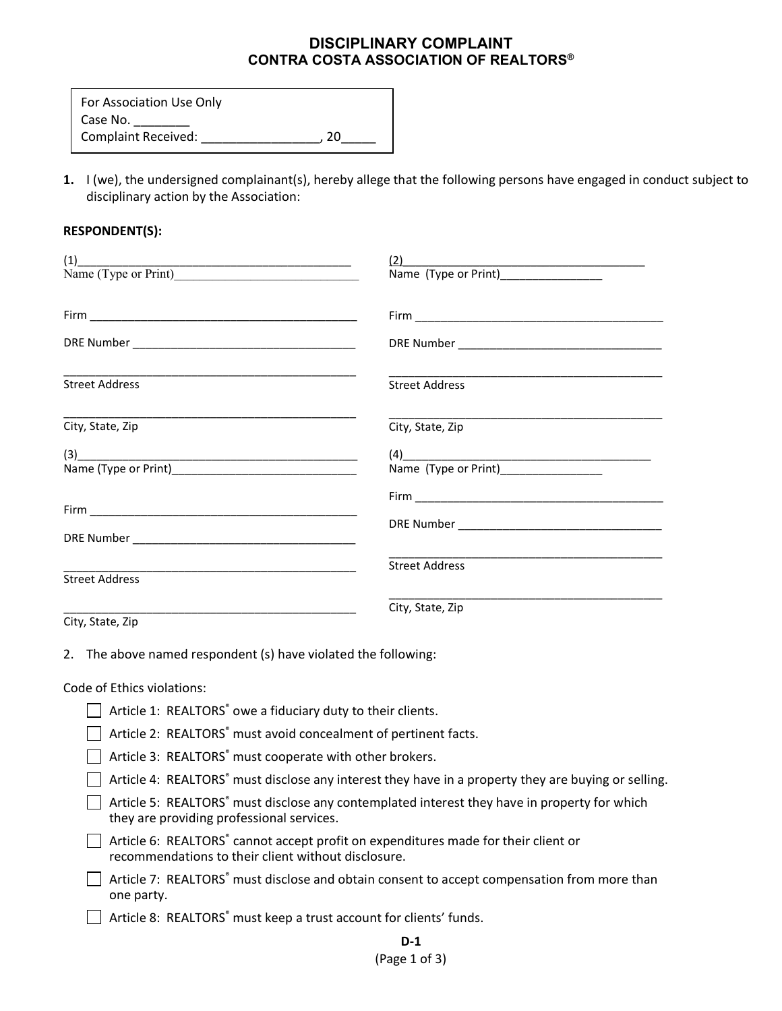## **DISCIPLINARY COMPLAINT CONTRA COSTA ASSOCIATION OF REALTORS®**

**1.** I (we), the undersigned complainant(s), hereby allege that the following persons have engaged in conduct subject to disciplinary action by the Association:

## **RESPONDENT(S):**

| $(1)$ Name (Type or Print) |                                     |
|----------------------------|-------------------------------------|
|                            |                                     |
|                            |                                     |
| <b>Street Address</b>      | <b>Street Address</b>               |
| City, State, Zip           | City, State, Zip                    |
|                            | (4)<br>Name (Type or Print)<br>2008 |
|                            |                                     |
|                            |                                     |
| <b>Street Address</b>      | <b>Street Address</b>               |
| City, State, Zip           | City, State, Zip                    |

2. The above named respondent (s) have violated the following:

## Code of Ethics violations:

- $\Box$  Article 1: REALTORS<sup>®</sup> owe a fiduciary duty to their clients.
- $\Box$  Article 2: REALTORS $\degree$  must avoid concealment of pertinent facts.
- $\Box$  Article 3: REALTORS $\degree$  must cooperate with other brokers.
- $\Box$  Article 4: REALTORS<sup>®</sup> must disclose any interest they have in a property they are buying or selling.
- $\Box$  Article 5: REALTORS $\degree$  must disclose any contemplated interest they have in property for which they are providing professional services.
- $\Box$  Article 6: REALTORS $\degree$  cannot accept profit on expenditures made for their client or recommendations to their client without disclosure.
- $\Box$  Article 7: REALTORS $\degree$  must disclose and obtain consent to accept compensation from more than one party.
- $\Box$  Article 8: REALTORS $\degree$  must keep a trust account for clients' funds.

## (Page 1 of 3)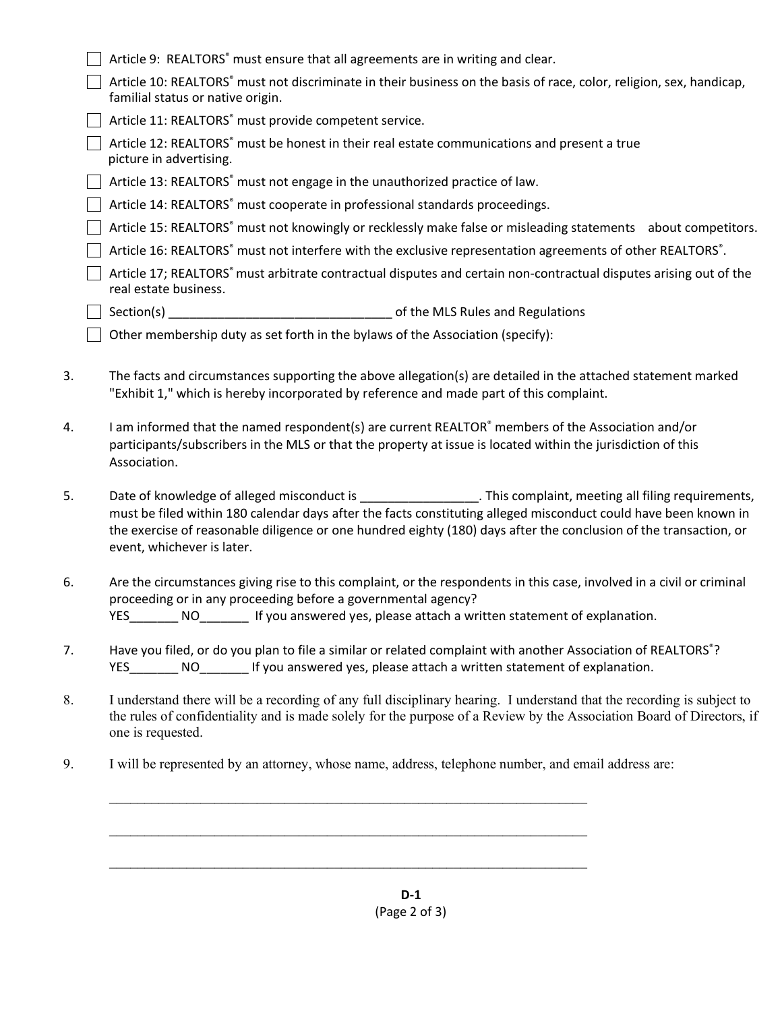|    |                                                                                                               | Article 9: REALTORS° must ensure that all agreements are in writing and clear.                                                                                                                                                                                                                                                                                             |  |
|----|---------------------------------------------------------------------------------------------------------------|----------------------------------------------------------------------------------------------------------------------------------------------------------------------------------------------------------------------------------------------------------------------------------------------------------------------------------------------------------------------------|--|
|    |                                                                                                               | Article 10: REALTORS® must not discriminate in their business on the basis of race, color, religion, sex, handicap,<br>familial status or native origin.                                                                                                                                                                                                                   |  |
|    |                                                                                                               | Article 11: REALTORS <sup>®</sup> must provide competent service.                                                                                                                                                                                                                                                                                                          |  |
|    |                                                                                                               | Article 12: REALTORS® must be honest in their real estate communications and present a true<br>picture in advertising.                                                                                                                                                                                                                                                     |  |
|    |                                                                                                               | Article 13: REALTORS <sup>®</sup> must not engage in the unauthorized practice of law.                                                                                                                                                                                                                                                                                     |  |
|    | Article 14: REALTORS® must cooperate in professional standards proceedings.                                   |                                                                                                                                                                                                                                                                                                                                                                            |  |
|    | Article 15: REALTORS® must not knowingly or recklessly make false or misleading statements about competitors. |                                                                                                                                                                                                                                                                                                                                                                            |  |
|    | Article 16: REALTORS® must not interfere with the exclusive representation agreements of other REALTORS®.     |                                                                                                                                                                                                                                                                                                                                                                            |  |
|    |                                                                                                               | Article 17; REALTORS <sup>®</sup> must arbitrate contractual disputes and certain non-contractual disputes arising out of the<br>real estate business.                                                                                                                                                                                                                     |  |
|    |                                                                                                               |                                                                                                                                                                                                                                                                                                                                                                            |  |
|    |                                                                                                               | Other membership duty as set forth in the bylaws of the Association (specify):                                                                                                                                                                                                                                                                                             |  |
| 3. |                                                                                                               | The facts and circumstances supporting the above allegation(s) are detailed in the attached statement marked<br>"Exhibit 1," which is hereby incorporated by reference and made part of this complaint.                                                                                                                                                                    |  |
| 4. |                                                                                                               | I am informed that the named respondent(s) are current REALTOR® members of the Association and/or<br>participants/subscribers in the MLS or that the property at issue is located within the jurisdiction of this<br>Association.                                                                                                                                          |  |
| 5. |                                                                                                               | Date of knowledge of alleged misconduct is entitled as a state of knowledge of alleged misconduct is<br>must be filed within 180 calendar days after the facts constituting alleged misconduct could have been known in<br>the exercise of reasonable diligence or one hundred eighty (180) days after the conclusion of the transaction, or<br>event, whichever is later. |  |
| 6. |                                                                                                               | Are the circumstances giving rise to this complaint, or the respondents in this case, involved in a civil or criminal<br>proceeding or in any proceeding before a governmental agency?<br>YES__________________________If you answered yes, please attach a written statement of explanation.                                                                              |  |
| 7. |                                                                                                               | Have you filed, or do you plan to file a similar or related complaint with another Association of REALTORS®?<br>YES_________ NO___________ If you answered yes, please attach a written statement of explanation.                                                                                                                                                          |  |
| 8. |                                                                                                               | I understand there will be a recording of any full disciplinary hearing. I understand that the recording is subject to<br>the rules of confidentiality and is made solely for the purpose of a Review by the Association Board of Directors, if<br>one is requested.                                                                                                       |  |
| 9. |                                                                                                               | I will be represented by an attorney, whose name, address, telephone number, and email address are:                                                                                                                                                                                                                                                                        |  |
|    |                                                                                                               |                                                                                                                                                                                                                                                                                                                                                                            |  |
|    |                                                                                                               |                                                                                                                                                                                                                                                                                                                                                                            |  |
|    |                                                                                                               |                                                                                                                                                                                                                                                                                                                                                                            |  |
|    |                                                                                                               |                                                                                                                                                                                                                                                                                                                                                                            |  |

**D-1** (Page 2 of 3)